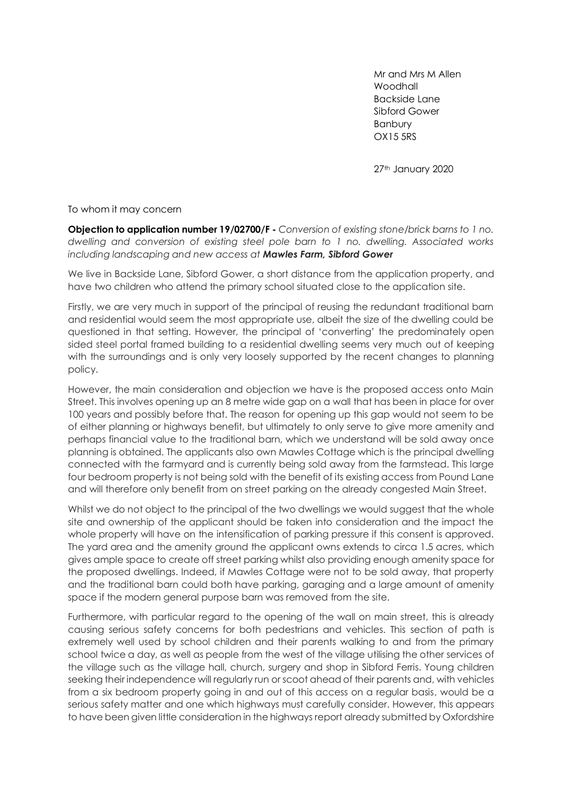Mr and Mrs M Allen **Woodhall** Backside Lane Sibford Gower Banbury OX15 5RS

27th January 2020

To whom it may concern

**Objection to application number 19/02700/F -** *Conversion of existing stone/brick barns to 1 no. dwelling and conversion of existing steel pole barn to 1 no. dwelling. Associated works including landscaping and new access at Mawles Farm, Sibford Gower*

We live in Backside Lane, Sibford Gower, a short distance from the application property, and have two children who attend the primary school situated close to the application site.

Firstly, we are very much in support of the principal of reusing the redundant traditional barn and residential would seem the most appropriate use, albeit the size of the dwelling could be questioned in that setting. However, the principal of 'converting' the predominately open sided steel portal framed building to a residential dwelling seems very much out of keeping with the surroundings and is only very loosely supported by the recent changes to planning policy.

However, the main consideration and objection we have is the proposed access onto Main Street. This involves opening up an 8 metre wide gap on a wall that has been in place for over 100 years and possibly before that. The reason for opening up this gap would not seem to be of either planning or highways benefit, but ultimately to only serve to give more amenity and perhaps financial value to the traditional barn, which we understand will be sold away once planning is obtained. The applicants also own Mawles Cottage which is the principal dwelling connected with the farmyard and is currently being sold away from the farmstead. This large four bedroom property is not being sold with the benefit of its existing access from Pound Lane and will therefore only benefit from on street parking on the already congested Main Street.

Whilst we do not object to the principal of the two dwellings we would suggest that the whole site and ownership of the applicant should be taken into consideration and the impact the whole property will have on the intensification of parking pressure if this consent is approved. The yard area and the amenity ground the applicant owns extends to circa 1.5 acres, which gives ample space to create off street parking whilst also providing enough amenity space for the proposed dwellings. Indeed, if Mawles Cottage were not to be sold away, that property and the traditional barn could both have parking, garaging and a large amount of amenity space if the modern general purpose barn was removed from the site.

Furthermore, with particular regard to the opening of the wall on main street, this is already causing serious safety concerns for both pedestrians and vehicles. This section of path is extremely well used by school children and their parents walking to and from the primary school twice a day, as well as people from the west of the village utilising the other services of the village such as the village hall, church, surgery and shop in Sibford Ferris. Young children seeking their independence will regularly run or scoot ahead of their parents and, with vehicles from a six bedroom property going in and out of this access on a regular basis, would be a serious safety matter and one which highways must carefully consider. However, this appears to have been given little consideration in the highways report already submitted by Oxfordshire